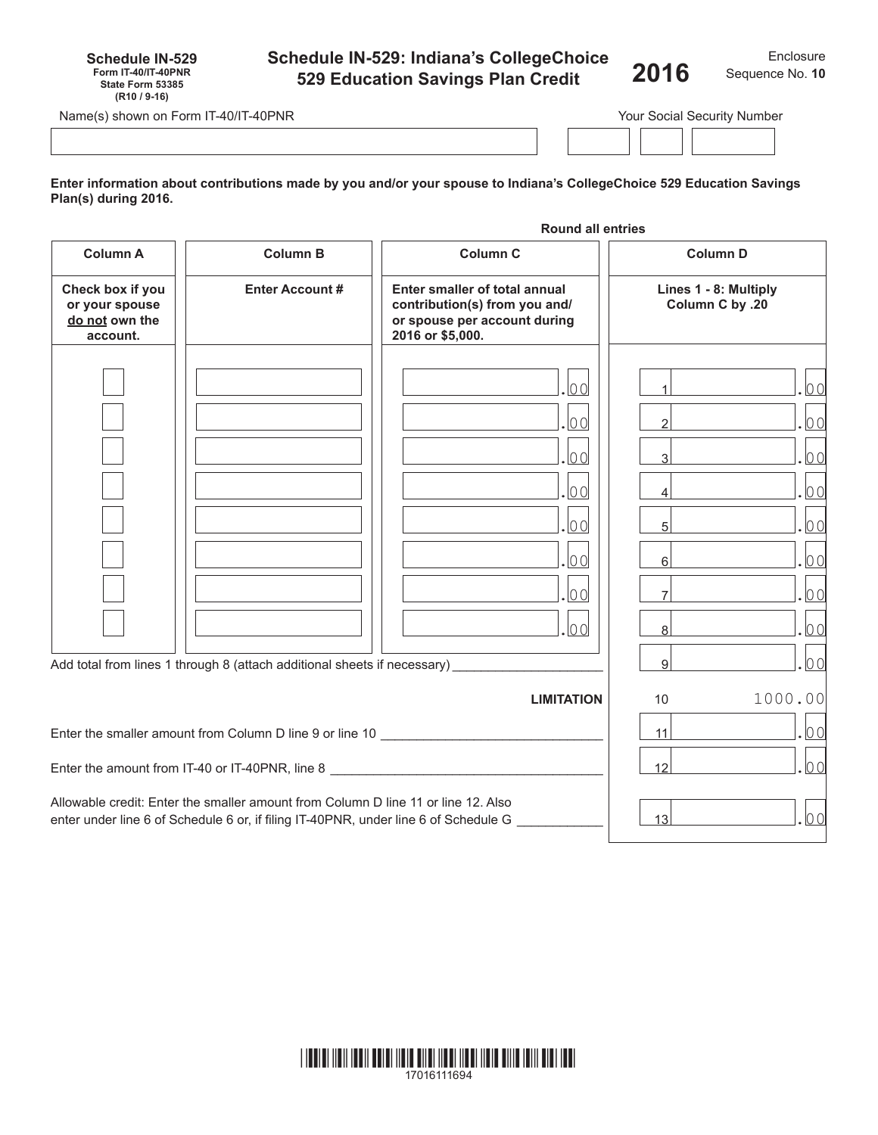| <b>Schedule IN-529: Indiana's CollegeChoice</b> |  |
|-------------------------------------------------|--|
| 529 Education Savings Plan Credit               |  |

Enclosure **2016** Sequence No.**<sup>10</sup>**

Name(s) shown on Form IT-40/IT-40PNR Your Social Security Number

**Schedule IN-529 Form IT-40/IT-40PNR State Form 53385 (R10 / 9-16)**

**Enter information about contributions made by you and/or your spouse to Indiana's CollegeChoice 529 Education Savings Plan(s) during 2016.**

|                                                                  |                                                                                                                                                                              | <b>Round all entries</b>                                                                                           |                                                             |              |
|------------------------------------------------------------------|------------------------------------------------------------------------------------------------------------------------------------------------------------------------------|--------------------------------------------------------------------------------------------------------------------|-------------------------------------------------------------|--------------|
| <b>Column A</b>                                                  | <b>Column B</b>                                                                                                                                                              | <b>Column C</b>                                                                                                    | <b>Column D</b><br>Lines 1 - 8: Multiply<br>Column C by .20 |              |
| Check box if you<br>or your spouse<br>do not own the<br>account. | <b>Enter Account #</b>                                                                                                                                                       | Enter smaller of total annual<br>contribution(s) from you and/<br>or spouse per account during<br>2016 or \$5,000. |                                                             |              |
|                                                                  |                                                                                                                                                                              | $ 00\rangle$                                                                                                       | $\mathbf{1}$                                                | 00           |
|                                                                  |                                                                                                                                                                              | $ 00\rangle$                                                                                                       | $\mathfrak{D}$                                              | $ 00\rangle$ |
|                                                                  |                                                                                                                                                                              | .loo                                                                                                               | $\overline{\mathbf{3}}$                                     | 00           |
|                                                                  |                                                                                                                                                                              | 00                                                                                                                 | 4                                                           | 00           |
|                                                                  |                                                                                                                                                                              | lo ol                                                                                                              | 5 <sup>1</sup>                                              | 00           |
|                                                                  |                                                                                                                                                                              | 00                                                                                                                 | $6 \overline{6}$                                            | 00           |
|                                                                  |                                                                                                                                                                              | .100                                                                                                               | $\overline{7}$                                              | $ 00\rangle$ |
|                                                                  |                                                                                                                                                                              | .00                                                                                                                | 8                                                           | $ 00\rangle$ |
|                                                                  | Add total from lines 1 through 8 (attach additional sheets if necessary)                                                                                                     |                                                                                                                    | $\overline{9}$                                              | $ 00\rangle$ |
|                                                                  |                                                                                                                                                                              | <b>LIMITATION</b>                                                                                                  | 10                                                          | 1000.00      |
|                                                                  | Enter the smaller amount from Column D line 9 or line 10                                                                                                                     |                                                                                                                    | 11                                                          | 00           |
|                                                                  | Enter the amount from IT-40 or IT-40PNR, line 8                                                                                                                              |                                                                                                                    | 12                                                          | 00           |
|                                                                  | Allowable credit: Enter the smaller amount from Column D line 11 or line 12. Also<br>enter under line 6 of Schedule 6 or, if filing IT-40PNR, under line 6 of Schedule G ___ |                                                                                                                    | 13                                                          | 00           |